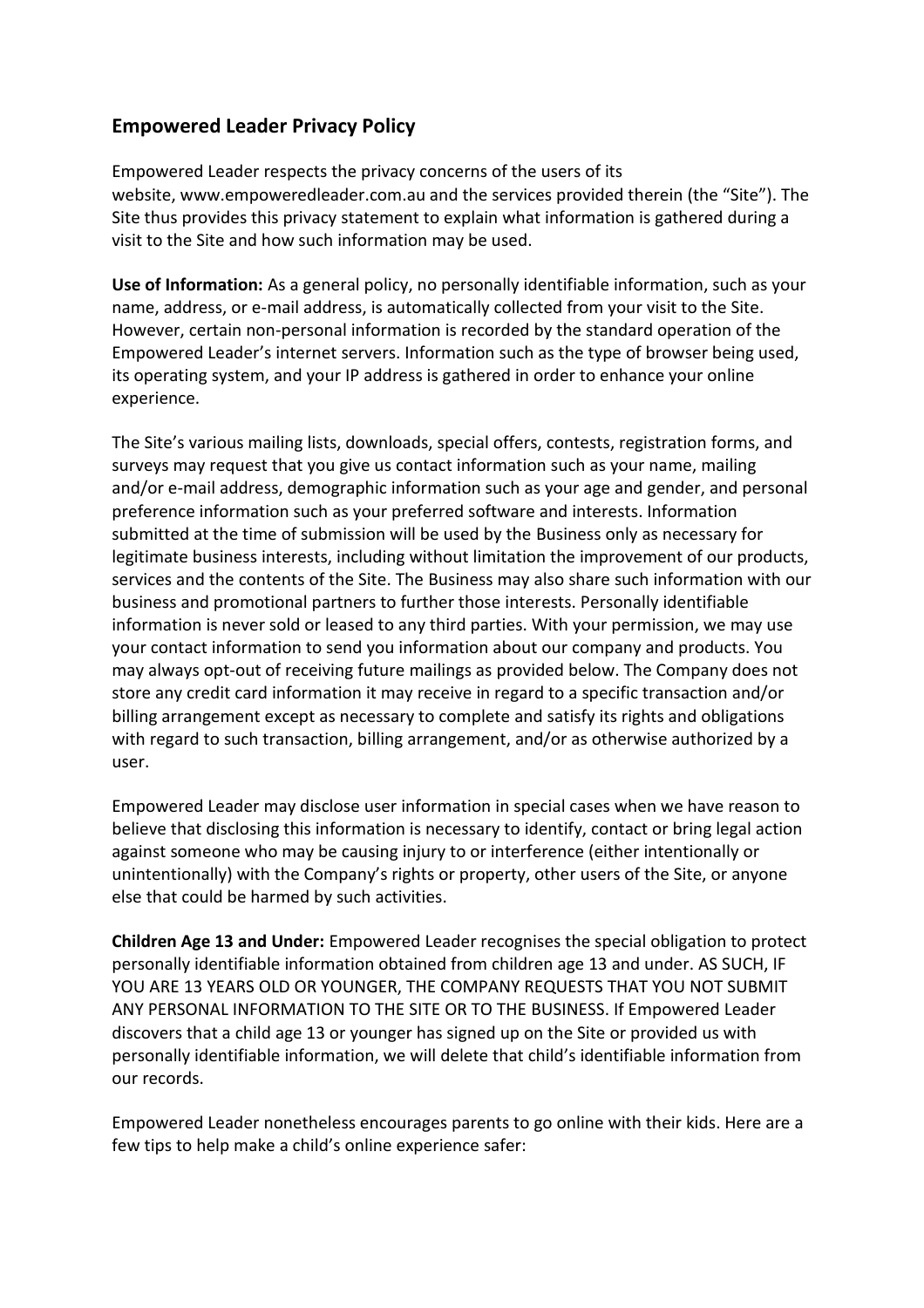## **Empowered Leader Privacy Policy**

Empowered Leader respects the privacy concerns of the users of its website, www.empoweredleader.com.au and the services provided therein (the "Site"). The Site thus provides this privacy statement to explain what information is gathered during a visit to the Site and how such information may be used.

**Use of Information:** As a general policy, no personally identifiable information, such as your name, address, or e-mail address, is automatically collected from your visit to the Site. However, certain non-personal information is recorded by the standard operation of the Empowered Leader's internet servers. Information such as the type of browser being used, its operating system, and your IP address is gathered in order to enhance your online experience.

The Site's various mailing lists, downloads, special offers, contests, registration forms, and surveys may request that you give us contact information such as your name, mailing and/or e-mail address, demographic information such as your age and gender, and personal preference information such as your preferred software and interests. Information submitted at the time of submission will be used by the Business only as necessary for legitimate business interests, including without limitation the improvement of our products, services and the contents of the Site. The Business may also share such information with our business and promotional partners to further those interests. Personally identifiable information is never sold or leased to any third parties. With your permission, we may use your contact information to send you information about our company and products. You may always opt-out of receiving future mailings as provided below. The Company does not store any credit card information it may receive in regard to a specific transaction and/or billing arrangement except as necessary to complete and satisfy its rights and obligations with regard to such transaction, billing arrangement, and/or as otherwise authorized by a user.

Empowered Leader may disclose user information in special cases when we have reason to believe that disclosing this information is necessary to identify, contact or bring legal action against someone who may be causing injury to or interference (either intentionally or unintentionally) with the Company's rights or property, other users of the Site, or anyone else that could be harmed by such activities.

**Children Age 13 and Under:** Empowered Leader recognises the special obligation to protect personally identifiable information obtained from children age 13 and under. AS SUCH, IF YOU ARE 13 YEARS OLD OR YOUNGER, THE COMPANY REQUESTS THAT YOU NOT SUBMIT ANY PERSONAL INFORMATION TO THE SITE OR TO THE BUSINESS. If Empowered Leader discovers that a child age 13 or younger has signed up on the Site or provided us with personally identifiable information, we will delete that child's identifiable information from our records.

Empowered Leader nonetheless encourages parents to go online with their kids. Here are a few tips to help make a child's online experience safer: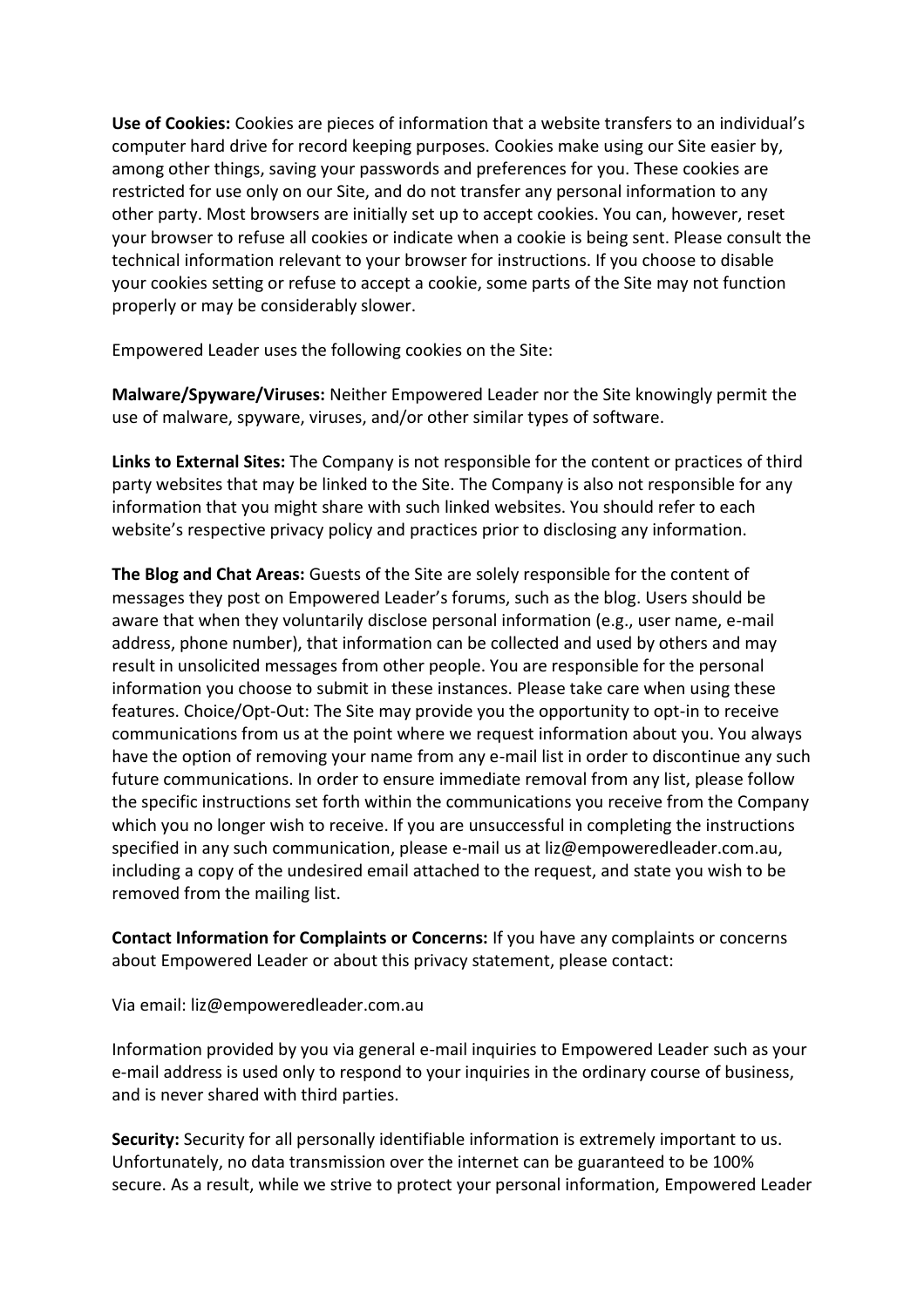**Use of Cookies:** Cookies are pieces of information that a website transfers to an individual's computer hard drive for record keeping purposes. Cookies make using our Site easier by, among other things, saving your passwords and preferences for you. These cookies are restricted for use only on our Site, and do not transfer any personal information to any other party. Most browsers are initially set up to accept cookies. You can, however, reset your browser to refuse all cookies or indicate when a cookie is being sent. Please consult the technical information relevant to your browser for instructions. If you choose to disable your cookies setting or refuse to accept a cookie, some parts of the Site may not function properly or may be considerably slower.

Empowered Leader uses the following cookies on the Site:

**Malware/Spyware/Viruses:** Neither Empowered Leader nor the Site knowingly permit the use of malware, spyware, viruses, and/or other similar types of software.

**Links to External Sites:** The Company is not responsible for the content or practices of third party websites that may be linked to the Site. The Company is also not responsible for any information that you might share with such linked websites. You should refer to each website's respective privacy policy and practices prior to disclosing any information.

**The Blog and Chat Areas:** Guests of the Site are solely responsible for the content of messages they post on Empowered Leader's forums, such as the blog. Users should be aware that when they voluntarily disclose personal information (e.g., user name, e-mail address, phone number), that information can be collected and used by others and may result in unsolicited messages from other people. You are responsible for the personal information you choose to submit in these instances. Please take care when using these features. Choice/Opt-Out: The Site may provide you the opportunity to opt-in to receive communications from us at the point where we request information about you. You always have the option of removing your name from any e-mail list in order to discontinue any such future communications. In order to ensure immediate removal from any list, please follow the specific instructions set forth within the communications you receive from the Company which you no longer wish to receive. If you are unsuccessful in completing the instructions specified in any such communication, please e-mail us at liz@empoweredleader.com.au, including a copy of the undesired email attached to the request, and state you wish to be removed from the mailing list.

**Contact Information for Complaints or Concerns:** If you have any complaints or concerns about Empowered Leader or about this privacy statement, please contact:

Via email: liz@empoweredleader.com.au

Information provided by you via general e-mail inquiries to Empowered Leader such as your e-mail address is used only to respond to your inquiries in the ordinary course of business, and is never shared with third parties.

**Security:** Security for all personally identifiable information is extremely important to us. Unfortunately, no data transmission over the internet can be guaranteed to be 100% secure. As a result, while we strive to protect your personal information, Empowered Leader